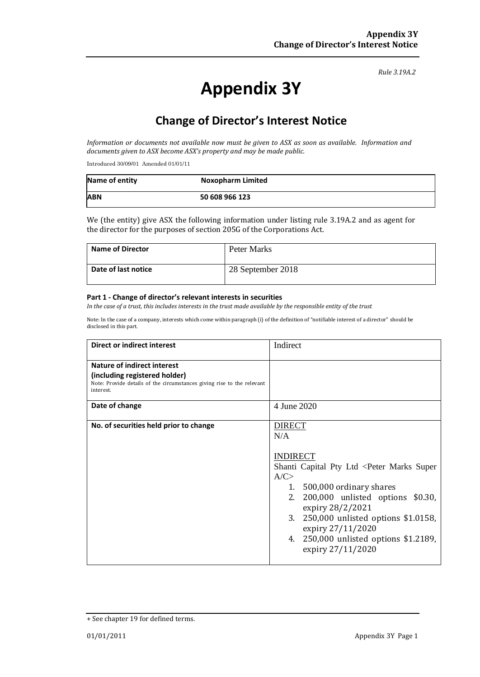*Rule 3.19A.2*

# **Appendix 3Y**

# **Change of Director's Interest Notice**

*Information or documents not available now must be given to ASX as soon as available. Information and documents given to ASX become ASX's property and may be made public.*

Introduced 30/09/01 Amended 01/01/11

| Name of entity | <b>Noxopharm Limited</b> |
|----------------|--------------------------|
| <b>ABN</b>     | 50 608 966 123           |

We (the entity) give ASX the following information under listing rule 3.19A.2 and as agent for the director for the purposes of section 205G of the Corporations Act.

| <b>Name of Director</b> | Peter Marks       |
|-------------------------|-------------------|
| Date of last notice     | 28 September 2018 |

#### **Part 1 - Change of director's relevant interests in securities**

*In the case of a trust, this includes interests in the trust made available by the responsible entity of the trust*

Note: In the case of a company, interests which come within paragraph (i) of the definition of "notifiable interest of a director" should be disclosed in this part.

| <b>Direct or indirect interest</b>                                                                                                                  | Indirect                                                                                                                                                                                                                                                                                                                                  |
|-----------------------------------------------------------------------------------------------------------------------------------------------------|-------------------------------------------------------------------------------------------------------------------------------------------------------------------------------------------------------------------------------------------------------------------------------------------------------------------------------------------|
| Nature of indirect interest<br>(including registered holder)<br>Note: Provide details of the circumstances giving rise to the relevant<br>interest. |                                                                                                                                                                                                                                                                                                                                           |
| Date of change                                                                                                                                      | 4 June 2020                                                                                                                                                                                                                                                                                                                               |
| No. of securities held prior to change                                                                                                              | <b>DIRECT</b><br>N/A<br><b>INDIRECT</b><br>Shanti Capital Pty Ltd <peter marks="" super<br="">A/C<br/>1. 500,000 ordinary shares<br/>200,000 unlisted options \$0.30,<br/>2.<br/>expiry 28/2/2021<br/>3. 250,000 unlisted options \$1.0158,<br/>expiry 27/11/2020<br/>4. 250,000 unlisted options \$1.2189,<br/>expiry 27/11/2020</peter> |

<sup>+</sup> See chapter 19 for defined terms.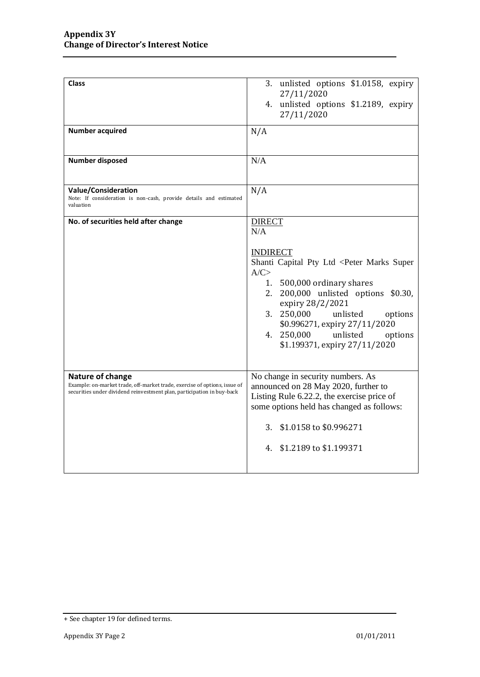| <b>Class</b>                                                                                                                                                            | 3. unlisted options \$1.0158, expiry<br>27/11/2020<br>4. unlisted options \$1.2189, expiry<br>27/11/2020                                                                                                                                                                                                                                  |
|-------------------------------------------------------------------------------------------------------------------------------------------------------------------------|-------------------------------------------------------------------------------------------------------------------------------------------------------------------------------------------------------------------------------------------------------------------------------------------------------------------------------------------|
| <b>Number acquired</b>                                                                                                                                                  | N/A                                                                                                                                                                                                                                                                                                                                       |
| <b>Number disposed</b>                                                                                                                                                  | N/A                                                                                                                                                                                                                                                                                                                                       |
| <b>Value/Consideration</b><br>Note: If consideration is non-cash, provide details and estimated<br>valuation                                                            | N/A                                                                                                                                                                                                                                                                                                                                       |
| No. of securities held after change                                                                                                                                     | <b>DIRECT</b><br>N/A                                                                                                                                                                                                                                                                                                                      |
|                                                                                                                                                                         | <b>INDIRECT</b><br>Shanti Capital Pty Ltd <peter marks="" super<br="">A/C<br/>1. 500,000 ordinary shares<br/>200,000 unlisted options \$0.30,<br/>2.<br/>expiry 28/2/2021<br/>250,000<br/>3.<br/>unlisted<br/>options<br/>\$0.996271, expiry 27/11/2020<br/>4. 250,000<br/>unlisted<br/>options<br/>\$1.199371, expiry 27/11/2020</peter> |
| Nature of change<br>Example: on-market trade, off-market trade, exercise of options, issue of<br>securities under dividend reinvestment plan, participation in buy-back | No change in security numbers. As<br>announced on 28 May 2020, further to<br>Listing Rule 6.22.2, the exercise price of<br>some options held has changed as follows:<br>3. \$1.0158 to \$0.996271<br>4. \$1.2189 to \$1.199371                                                                                                            |

<sup>+</sup> See chapter 19 for defined terms.